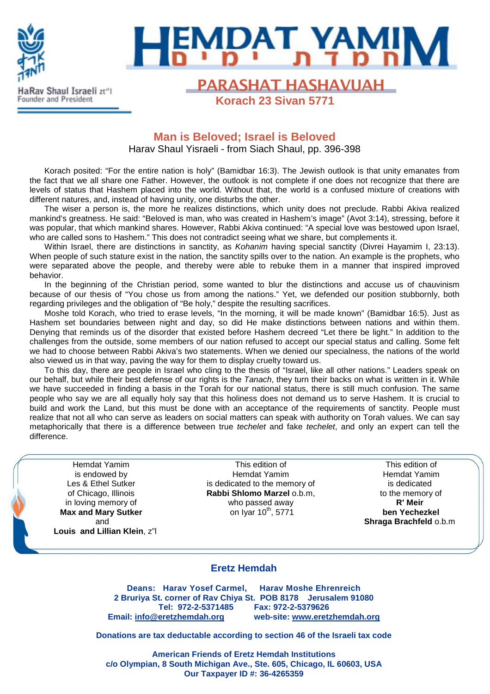



**PARASHAT HASHAVUAH Korach 23 Sivan 5771**

# **Man is Beloved; Israel is Beloved**

Harav Shaul Yisraeli - from Siach Shaul, pp. 396-398

Korach posited: "For the entire nation is holy" (Bamidbar 16:3). The Jewish outlook is that unity emanates from the fact that we all share one Father. However, the outlook is not complete if one does not recognize that there are levels of status that Hashem placed into the world. Without that, the world is a confused mixture of creations with different natures, and, instead of having unity, one disturbs the other.

The wiser a person is, the more he realizes distinctions, which unity does not preclude. Rabbi Akiva realized mankind's greatness. He said: "Beloved is man, who was created in Hashem's image" (Avot 3:14), stressing, before it was popular, that which mankind shares. However, Rabbi Akiva continued: "A special love was bestowed upon Israel, who are called sons to Hashem." This does not contradict seeing what we share, but complements it.

Within Israel, there are distinctions in sanctity, as Kohanim having special sanctity (Divrei Hayamim I, 23:13). When people of such stature exist in the nation, the sanctity spills over to the nation. An example is the prophets, who were separated above the people, and thereby were able to rebuke them in a manner that inspired improved behavior.

In the beginning of the Christian period, some wanted to blur the distinctions and accuse us of chauvinism because of our thesis of "You chose us from among the nations." Yet, we defended our position stubbornly, both regarding privileges and the obligation of "Be holy," despite the resulting sacrifices.

Moshe told Korach, who tried to erase levels, "In the morning, it will be made known" (Bamidbar 16:5). Just as Hashem set boundaries between night and day, so did He make distinctions between nations and within them. Denying that reminds us of the disorder that existed before Hashem decreed "Let there be light." In addition to the challenges from the outside, some members of our nation refused to accept our special status and calling. Some felt we had to choose between Rabbi Akiva's two statements. When we denied our specialness, the nations of the world also viewed us in that way, paving the way for them to display cruelty toward us.

To this day, there are people in Israel who cling to the thesis of "Israel, like all other nations." Leaders speak on our behalf, but while their best defense of our rights is the Tanach, they turn their backs on what is written in it. While we have succeeded in finding a basis in the Torah for our national status, there is still much confusion. The same people who say we are all equally holy say that this holiness does not demand us to serve Hashem. It is crucial to build and work the Land, but this must be done with an acceptance of the requirements of sanctity. People must realize that not all who can serve as leaders on social matters can speak with authority on Torah values. We can say metaphorically that there is a difference between true techelet and fake techelet, and only an expert can tell the difference.

Hemdat Yamim is endowed by Les & Ethel Sutker of Chicago, Illinois in loving memory of **Max and Mary Sutker** and **Louis and Lillian Klein**, z"l

ł

This edition of Hemdat Yamim is dedicated to the memory of **Rabbi Shlomo Marzel** o.b.m, who passed away on Iyar  $10^{th}$ , 5771

This edition of Hemdat Yamim is dedicated to the memory of **R' Meir ben Yechezkel Shraga Brachfeld** o.b.m

#### **Eretz Hemdah**

**Deans: Harav Yosef Carmel, Harav Moshe Ehrenreich 2 Bruriya St. corner of Rav Chiya St. POB 8178 Jerusalem 91080 Tel: 972-2-5371485 Fax: 972-2-5379626 Email: info@eretzhemdah.org web-site: www.eretzhemdah.org**

**Donations are tax deductable according to section 46 of the Israeli tax code** 

**American Friends of Eretz Hemdah Institutions c/o Olympian, 8 South Michigan Ave., Ste. 605, Chicago, IL 60603, USA Our Taxpayer ID #: 36-4265359**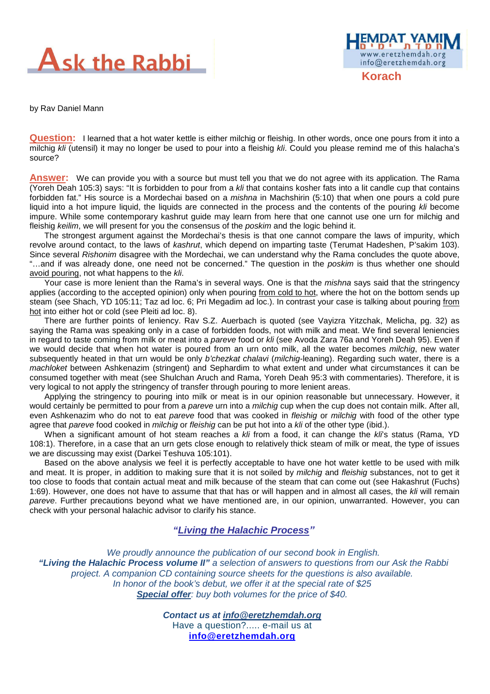



by Rav Daniel Mann

**Question:** I learned that a hot water kettle is either milchig or fleishig. In other words, once one pours from it into a milchig kli (utensil) it may no longer be used to pour into a fleishig kli. Could you please remind me of this halacha's source?

**Answer:** We can provide you with a source but must tell you that we do not agree with its application. The Rama (Yoreh Deah 105:3) says: "It is forbidden to pour from a kli that contains kosher fats into a lit candle cup that contains forbidden fat." His source is a Mordechai based on a *mishna* in Machshirin (5:10) that when one pours a cold pure liquid into a hot impure liquid, the liquids are connected in the process and the contents of the pouring kli become impure. While some contemporary kashrut guide may learn from here that one cannot use one urn for milchig and fleishig keilim, we will present for you the consensus of the *poskim* and the logic behind it.

The strongest argument against the Mordechai's thesis is that one cannot compare the laws of impurity, which revolve around contact, to the laws of kashrut, which depend on imparting taste (Terumat Hadeshen, P'sakim 103). Since several Rishonim disagree with the Mordechai, we can understand why the Rama concludes the quote above, "...and if was already done, one need not be concerned." The question in the poskim is thus whether one should avoid pouring, not what happens to the kli.

Your case is more lenient than the Rama's in several ways. One is that the *mishna* says said that the stringency applies (according to the accepted opinion) only when pouring from cold to hot, where the hot on the bottom sends up steam (see Shach, YD 105:11; Taz ad loc. 6; Pri Megadim ad loc.). In contrast your case is talking about pouring from hot into either hot or cold (see Pleiti ad loc. 8).

There are further points of leniency. Rav S.Z. Auerbach is quoted (see Vayizra Yitzchak, Melicha, pg. 32) as saying the Rama was speaking only in a case of forbidden foods, not with milk and meat. We find several leniencies in regard to taste coming from milk or meat into a pareve food or kli (see Avoda Zara 76a and Yoreh Deah 95). Even if we would decide that when hot water is poured from an urn onto milk, all the water becomes *milchig*, new water subsequently heated in that urn would be only *b'chezkat chalavi (milchig*-leaning). Regarding such water, there is a machloket between Ashkenazim (stringent) and Sephardim to what extent and under what circumstances it can be consumed together with meat (see Shulchan Aruch and Rama, Yoreh Deah 95:3 with commentaries). Therefore, it is very logical to not apply the stringency of transfer through pouring to more lenient areas.

Applying the stringency to pouring into milk or meat is in our opinion reasonable but unnecessary. However, it would certainly be permitted to pour from a *pareve* urn into a *milchig* cup when the cup does not contain milk. After all, even Ashkenazim who do not to eat pareve food that was cooked in fleishig or milchig with food of the other type agree that pareve food cooked in milchig or fleishig can be put hot into a kli of the other type (ibid.).

When a significant amount of hot steam reaches a kli from a food, it can change the kli's status (Rama, YD 108:1). Therefore, in a case that an urn gets close enough to relatively thick steam of milk or meat, the type of issues we are discussing may exist (Darkei Teshuva 105:101).

Based on the above analysis we feel it is perfectly acceptable to have one hot water kettle to be used with milk and meat. It is proper, in addition to making sure that it is not soiled by *milchig* and fleishig substances, not to get it too close to foods that contain actual meat and milk because of the steam that can come out (see Hakashrut (Fuchs) 1:69). However, one does not have to assume that that has or will happen and in almost all cases, the kli will remain pareve. Further precautions beyond what we have mentioned are, in our opinion, unwarranted. However, you can check with your personal halachic advisor to clarify his stance.

## **"Living the Halachic Process***"*

We proudly announce the publication of our second book in English.  **"Living the Halachic Process volume II"** a selection of answers to questions from our Ask the Rabbi project. A companion CD containing source sheets for the questions is also available. In honor of the book's debut, we offer it at the special rate of \$25 **Special offer:** buy both volumes for the price of \$40.

> **Contact us at info@eretzhemdah.org** Have a question?..... e-mail us at

**info@eretzhemdah.org**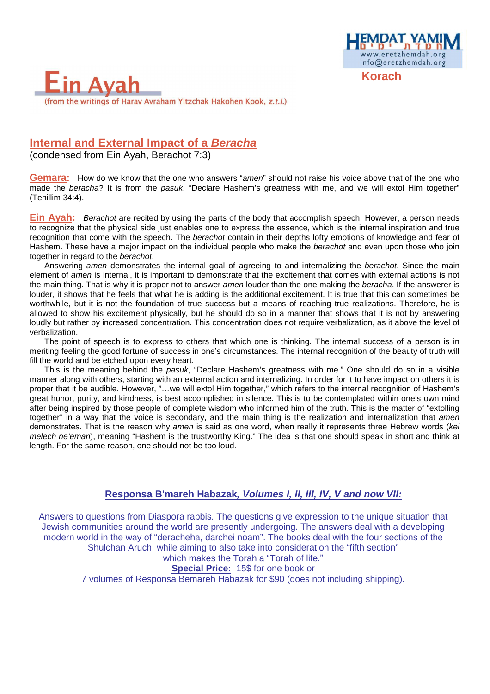

# **Internal and External Impact of a Beracha**

(condensed from Ein Ayah, Berachot 7:3)

**Gemara:** How do we know that the one who answers "amen" should not raise his voice above that of the one who made the beracha? It is from the pasuk, "Declare Hashem's greatness with me, and we will extol Him together" (Tehillim 34:4).

www.eretzhemdah.org info@eretzhemdah.org

**Ein Ayah:** Berachot are recited by using the parts of the body that accomplish speech. However, a person needs to recognize that the physical side just enables one to express the essence, which is the internal inspiration and true recognition that come with the speech. The berachot contain in their depths lofty emotions of knowledge and fear of Hashem. These have a major impact on the individual people who make the berachot and even upon those who join together in regard to the berachot.

Answering amen demonstrates the internal goal of agreeing to and internalizing the berachot. Since the main element of amen is internal, it is important to demonstrate that the excitement that comes with external actions is not the main thing. That is why it is proper not to answer *amen* louder than the one making the *beracha*. If the answerer is louder, it shows that he feels that what he is adding is the additional excitement. It is true that this can sometimes be worthwhile, but it is not the foundation of true success but a means of reaching true realizations. Therefore, he is allowed to show his excitement physically, but he should do so in a manner that shows that it is not by answering loudly but rather by increased concentration. This concentration does not require verbalization, as it above the level of verbalization.

The point of speech is to express to others that which one is thinking. The internal success of a person is in meriting feeling the good fortune of success in one's circumstances. The internal recognition of the beauty of truth will fill the world and be etched upon every heart.

This is the meaning behind the *pasuk*, "Declare Hashem's greatness with me." One should do so in a visible manner along with others, starting with an external action and internalizing. In order for it to have impact on others it is proper that it be audible. However, "...we will extol Him together," which refers to the internal recognition of Hashem's great honor, purity, and kindness, is best accomplished in silence. This is to be contemplated within one's own mind after being inspired by those people of complete wisdom who informed him of the truth. This is the matter of "extolling together" in a way that the voice is secondary, and the main thing is the realization and internalization that amen demonstrates. That is the reason why amen is said as one word, when really it represents three Hebrew words (kel melech ne'eman), meaning "Hashem is the trustworthy King." The idea is that one should speak in short and think at length. For the same reason, one should not be too loud.

## **Responsa B'mareh Habazak, Volumes I, II, III, IV, V and now VII:**

Answers to questions from Diaspora rabbis. The questions give expression to the unique situation that Jewish communities around the world are presently undergoing. The answers deal with a developing modern world in the way of "deracheha, darchei noam". The books deal with the four sections of the Shulchan Aruch, while aiming to also take into consideration the "fifth section"

#### which makes the Torah a "Torah of life." **Special Price:** 15\$ for one book or

7 volumes of Responsa Bemareh Habazak for \$90 (does not including shipping).